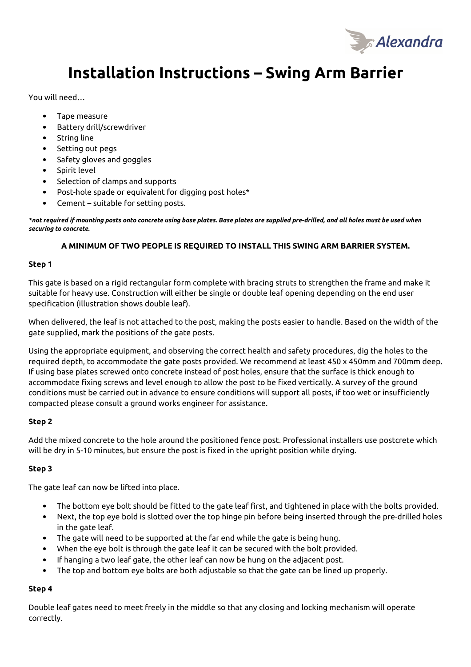

# **Installation Instructions – Swing Arm Barrier**

You will need…

- Tape measure
- Battery drill/screwdriver
- String line
- Setting out pegs
- Safety gloves and goggles
- Spirit level
- Selection of clamps and supports
- Post-hole spade or equivalent for digging post holes\*
- Cement suitable for setting posts.

*\*not required if mounting posts onto concrete using base plates. Base plates are supplied pre-drilled, and all holes must be used when securing to concrete.* 

### **A MINIMUM OF TWO PEOPLE IS REQUIRED TO INSTALL THIS SWING ARM BARRIER SYSTEM.**

#### **Step 1**

This gate is based on a rigid rectangular form complete with bracing struts to strengthen the frame and make it suitable for heavy use. Construction will either be single or double leaf opening depending on the end user specification (illustration shows double leaf).

When delivered, the leaf is not attached to the post, making the posts easier to handle. Based on the width of the gate supplied, mark the positions of the gate posts.

Using the appropriate equipment, and observing the correct health and safety procedures, dig the holes to the required depth, to accommodate the gate posts provided. We recommend at least 450 x 450mm and 700mm deep. If using base plates screwed onto concrete instead of post holes, ensure that the surface is thick enough to accommodate fixing screws and level enough to allow the post to be fixed vertically. A survey of the ground conditions must be carried out in advance to ensure conditions will support all posts, if too wet or insufficiently compacted please consult a ground works engineer for assistance.

#### **Step 2**

Add the mixed concrete to the hole around the positioned fence post. Professional installers use postcrete which will be dry in 5-10 minutes, but ensure the post is fixed in the upright position while drying.

#### **Step 3**

The gate leaf can now be lifted into place.

- The bottom eye bolt should be fitted to the gate leaf first, and tightened in place with the bolts provided.
- Next, the top eye bold is slotted over the top hinge pin before being inserted through the pre-drilled holes in the gate leaf.
- The gate will need to be supported at the far end while the gate is being hung.
- When the eye bolt is through the gate leaf it can be secured with the bolt provided.
- If hanging a two leaf gate, the other leaf can now be hung on the adjacent post.
- The top and bottom eye bolts are both adjustable so that the gate can be lined up properly.

#### **Step 4**

Double leaf gates need to meet freely in the middle so that any closing and locking mechanism will operate correctly.